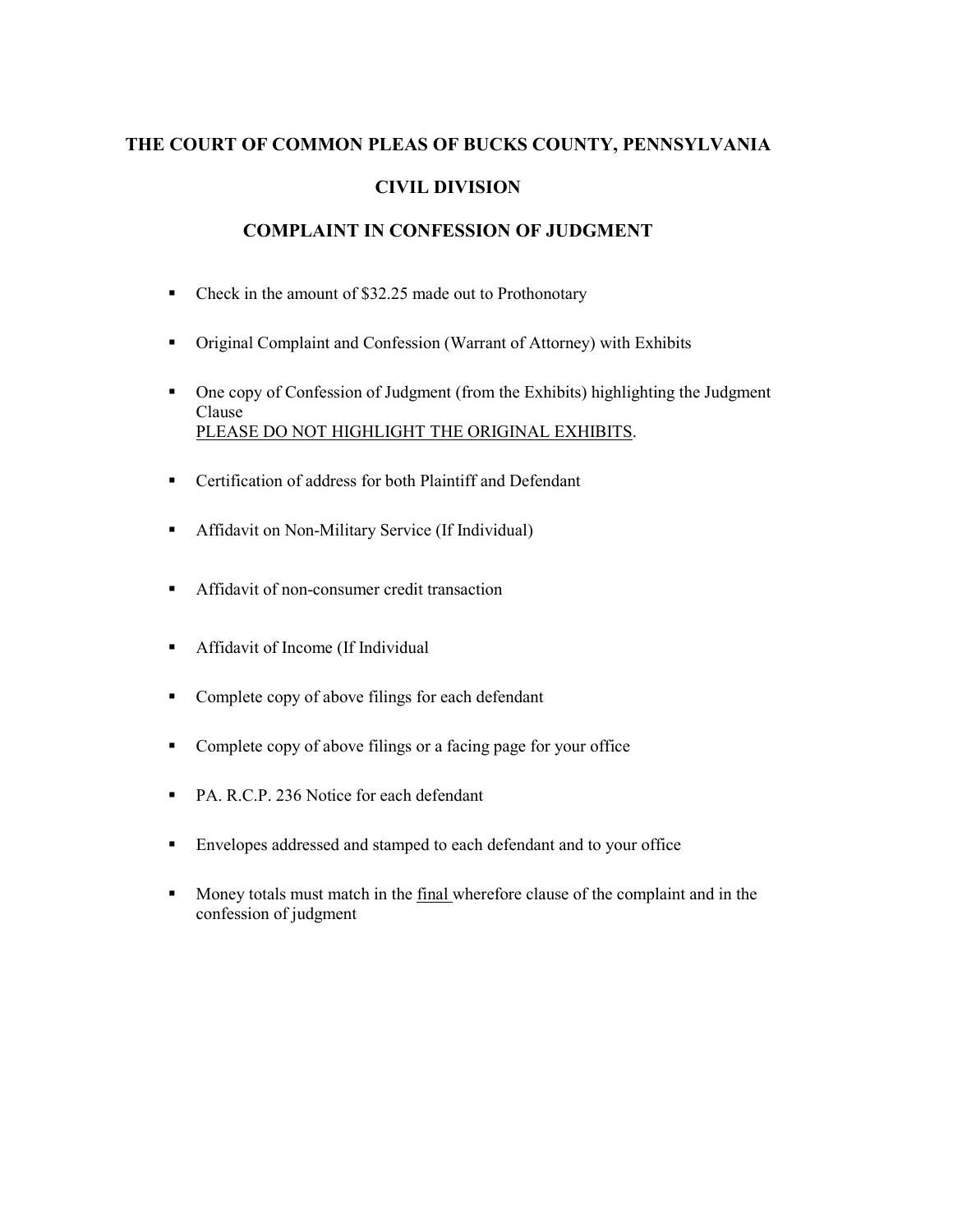# **THE COURT OF COMMON PLEAS OF BUCKS COUNTY, PENNSYLVANIA CIVIL DIVISION**

# **COMPLAINT IN CONFESSION OF JUDGMENT**

- Check in the amount of \$32.25 made out to Prothonotary
- Original Complaint and Confession (Warrant of Attorney) with Exhibits
- One copy of Confession of Judgment (from the Exhibits) highlighting the Judgment Clause PLEASE DO NOT HIGHLIGHT THE ORIGINAL EXHIBITS.
- Certification of address for both Plaintiff and Defendant
- **Affidavit on Non-Military Service (If Individual)**
- **Affidavit of non-consumer credit transaction**
- Affidavit of Income (If Individual
- **•** Complete copy of above filings for each defendant
- Complete copy of above filings or a facing page for your office
- PA. R.C.P. 236 Notice for each defendant
- Envelopes addressed and stamped to each defendant and to your office
- Money totals must match in the final wherefore clause of the complaint and in the confession of judgment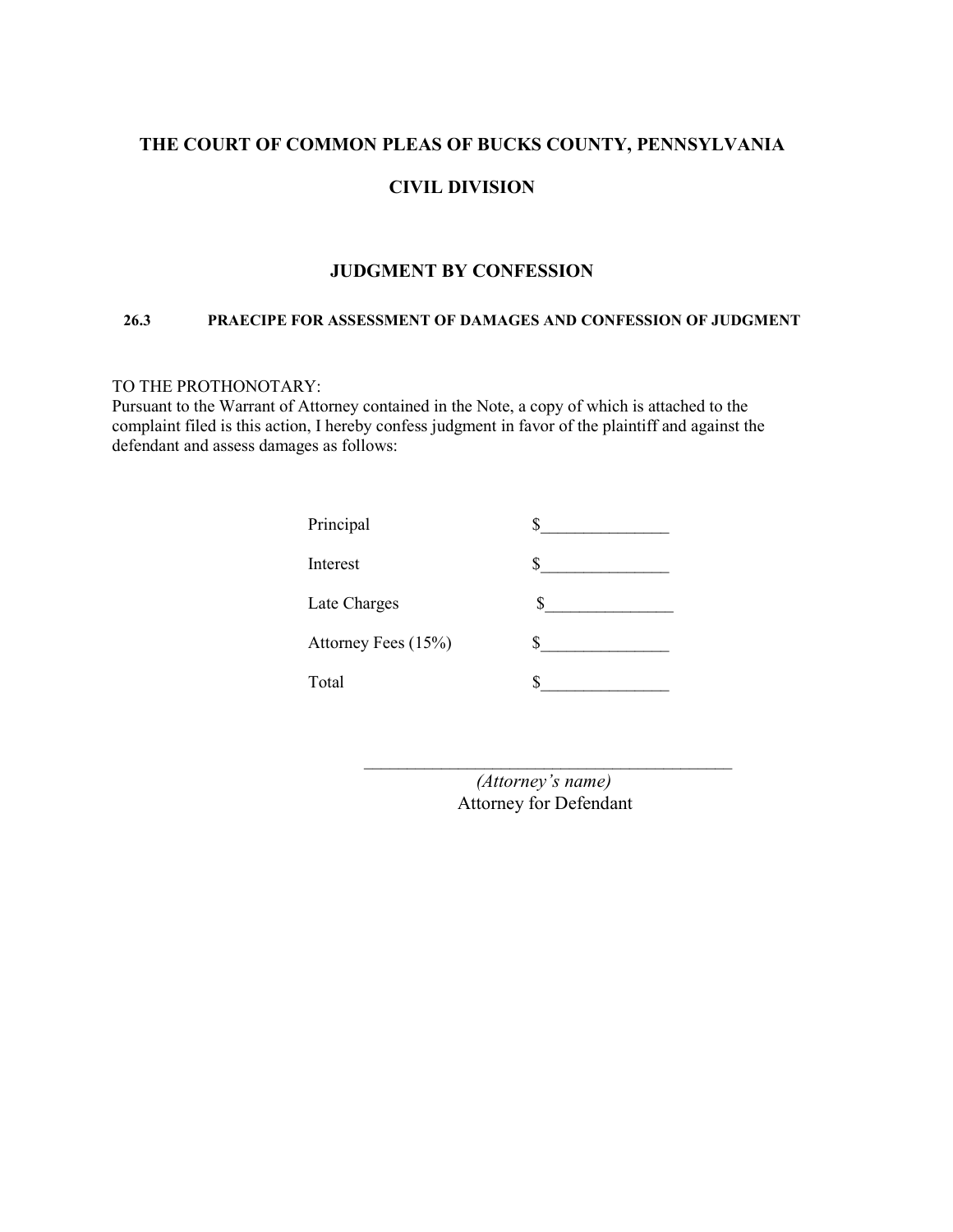# **THE COURT OF COMMON PLEAS OF BUCKS COUNTY, PENNSYLVANIA**

## **CIVIL DIVISION**

#### **JUDGMENT BY CONFESSION**

#### **26.3 PRAECIPE FOR ASSESSMENT OF DAMAGES AND CONFESSION OF JUDGMENT**

## TO THE PROTHONOTARY:

Pursuant to the Warrant of Attorney contained in the Note, a copy of which is attached to the complaint filed is this action, I hereby confess judgment in favor of the plaintiff and against the defendant and assess damages as follows:

| Principal           |  |
|---------------------|--|
| Interest            |  |
| Late Charges        |  |
| Attorney Fees (15%) |  |
| Total               |  |

*(Attorney's name)*  Attorney for Defendant

\_\_\_\_\_\_\_\_\_\_\_\_\_\_\_\_\_\_\_\_\_\_\_\_\_\_\_\_\_\_\_\_\_\_\_\_\_\_\_\_\_\_\_